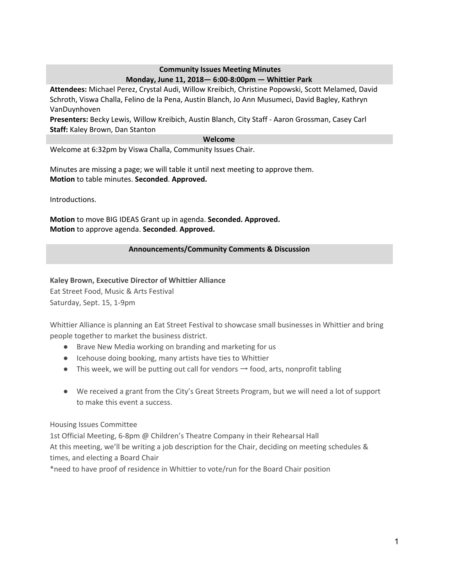### **Community Issues Meeting Minutes Monday, June 11, 2018— 6:00-8:00pm — Whittier Park**

**Attendees:** Michael Perez, Crystal Audi, Willow Kreibich, Christine Popowski, Scott Melamed, David Schroth, Viswa Challa, Felino de la Pena, Austin Blanch, Jo Ann Musumeci, David Bagley, Kathryn VanDuynhoven

**Presenters:** Becky Lewis, Willow Kreibich, Austin Blanch, City Staff - Aaron Grossman, Casey Carl **Staff:** Kaley Brown, Dan Stanton

#### **Welcome**

Welcome at 6:32pm by Viswa Challa, Community Issues Chair.

Minutes are missing a page; we will table it until next meeting to approve them. **Motion** to table minutes. **Seconded**. **Approved.**

Introductions.

**Motion** to move BIG IDEAS Grant up in agenda. **Seconded. Approved. Motion** to approve agenda. **Seconded**. **Approved.**

### **Announcements/Community Comments & Discussion**

**Kaley Brown, Executive Director of Whittier Alliance** Eat Street Food, Music & Arts Festival Saturday, Sept. 15, 1-9pm

Whittier Alliance is planning an Eat Street Festival to showcase small businesses in Whittier and bring people together to market the business district.

- Brave New Media working on branding and marketing for us
- Icehouse doing booking, many artists have ties to Whittier
- **•** This week, we will be putting out call for vendors  $\rightarrow$  food, arts, nonprofit tabling
- We received a grant from the City's Great Streets Program, but we will need a lot of support to make this event a success.

Housing Issues Committee

1st Official Meeting, 6-8pm @ Children's Theatre Company in their Rehearsal Hall At this meeting, we'll be writing a job description for the Chair, deciding on meeting schedules & times, and electing a Board Chair

\*need to have proof of residence in Whittier to vote/run for the Board Chair position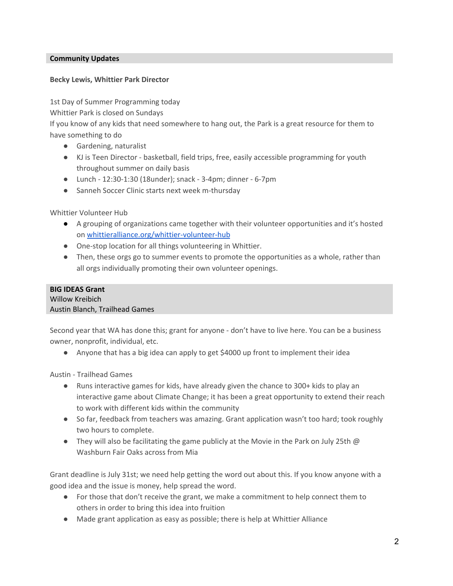#### **Community Updates**

#### **Becky Lewis, Whittier Park Director**

1st Day of Summer Programming today

Whittier Park is closed on Sundays

If you know of any kids that need somewhere to hang out, the Park is a great resource for them to have something to do

- Gardening, naturalist
- KJ is Teen Director basketball, field trips, free, easily accessible programming for youth throughout summer on daily basis
- Lunch 12:30-1:30 (18under); snack 3-4pm; dinner 6-7pm
- Sanneh Soccer Clinic starts next week m-thursday

Whittier Volunteer Hub

- A grouping of organizations came together with their volunteer opportunities and it's hosted on [whittieralliance.org/whittier-volunteer-hub](http://whittieralliance.org/whittier-volunteer-hub)
- One-stop location for all things volunteering in Whittier.
- Then, these orgs go to summer events to promote the opportunities as a whole, rather than all orgs individually promoting their own volunteer openings.

# **BIG IDEAS Grant**

Willow Kreibich Austin Blanch, Trailhead Games

Second year that WA has done this; grant for anyone - don't have to live here. You can be a business owner, nonprofit, individual, etc.

● Anyone that has a big idea can apply to get \$4000 up front to implement their idea

Austin - Trailhead Games

- Runs interactive games for kids, have already given the chance to 300+ kids to play an interactive game about Climate Change; it has been a great opportunity to extend their reach to work with different kids within the community
- So far, feedback from teachers was amazing. Grant application wasn't too hard; took roughly two hours to complete.
- They will also be facilitating the game publicly at the Movie in the Park on July 25th  $\omega$ Washburn Fair Oaks across from Mia

Grant deadline is July 31st; we need help getting the word out about this. If you know anyone with a good idea and the issue is money, help spread the word.

- For those that don't receive the grant, we make a commitment to help connect them to others in order to bring this idea into fruition
- Made grant application as easy as possible; there is help at Whittier Alliance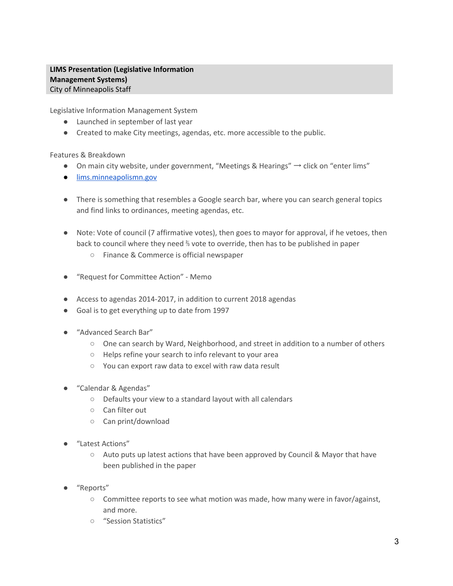## **LIMS Presentation (Legislative Information Management Systems)** City of Minneapolis Staff

Legislative Information Management System

- Launched in september of last year
- Created to make City meetings, agendas, etc. more accessible to the public.

#### Features & Breakdown

- On main city website, under government, "Meetings & Hearings"  $\rightarrow$  click on "enter lims"
- [lims.minneapolismn.gov](http://lims.minneapolismn.gov/)
- There is something that resembles a Google search bar, where you can search general topics and find links to ordinances, meeting agendas, etc.
- Note: Vote of council (7 affirmative votes), then goes to mayor for approval, if he vetoes, then back to council where they need ⅔ vote to override, then has to be published in paper
	- Finance & Commerce is official newspaper
- "Request for Committee Action" Memo
- Access to agendas 2014-2017, in addition to current 2018 agendas
- Goal is to get everything up to date from 1997
- "Advanced Search Bar"
	- One can search by Ward, Neighborhood, and street in addition to a number of others
	- Helps refine your search to info relevant to your area
	- You can export raw data to excel with raw data result
- "Calendar & Agendas"
	- Defaults your view to a standard layout with all calendars
	- Can filter out
	- Can print/download
- "Latest Actions"
	- $\circ$  Auto puts up latest actions that have been approved by Council & Mayor that have been published in the paper
- "Reports"
	- Committee reports to see what motion was made, how many were in favor/against, and more.
	- "Session Statistics"